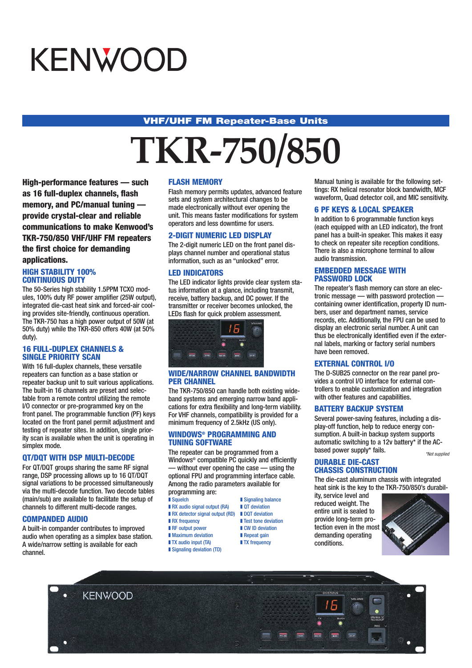# KENWOOD

### **VHF/UHF FM Repeater-Base Units**

# **TKR-750/850**

**High-performance features — such as 16 full-duplex channels, flash memory, and PC/manual tuning provide crystal-clear and reliable communications to make Kenwood's TKR-750/850 VHF/UHF FM repeaters the first choice for demanding applications.**

#### **HIGH STABILITY 100% CONTINUOUS DUTY**

The 50-Series high stability 1.5PPM TCXO modules, 100% duty RF power amplifier (25W output), integrated die-cast heat sink and forced-air cooling provides site-friendly, continuous operation. The TKR-750 has a high power output of 50W (at 50% duty) while the TKR-850 offers 40W (at 50% duty).

#### **16 FULL-DUPLEX CHANNELS & SINGLE PRIORITY SCAN**

With 16 full-duplex channels, these versatile repeaters can function as a base station or repeater backup unit to suit various applications. The built-in 16 channels are preset and selectable from a remote control utilizing the remote I/O connector or pre-programmed key on the front panel. The programmable function (PF) keys located on the front panel permit adjustment and testing of repeater sites. In addition, single priority scan is available when the unit is operating in simplex mode.

#### **QT/DQT WITH DSP MULTI-DECODE**

For QT/DQT groups sharing the same RF signal range, DSP processing allows up to 16 QT/DQT signal variations to be processed simultaneously via the multi-decode function. Two decode tables (main/sub) are available to facilitate the setup of channels to different multi-decode ranges.

#### **COMPANDED AUDIO**

A built-in compander contributes to improved audio when operating as a simplex base station. A wide/narrow setting is available for each channel.

#### **FLASH MEMORY**

Flash memory permits updates, advanced feature sets and system architectural changes to be made electronically without ever opening the unit. This means faster modifications for system operators and less downtime for users.

#### **2-DIGIT NUMERIC LED DISPLAY**

The 2-digit numeric LED on the front panel displays channel number and operational status information, such as an "unlocked" error.

#### **LED INDICATORS**

The LED indicator lights provide clear system status information at a glance, including transmit, receive, battery backup, and DC power. If the transmitter or receiver becomes unlocked, the LEDs flash for quick problem assessment.



#### **WIDE/NARROW CHANNEL BANDWIDTH PER CHANNEL**

The TKR-750/850 can handle both existing wideband systems and emerging narrow band applications for extra flexibility and long-term viability. For VHF channels, compatibility is provided for a minimum frequency of 2.5kHz (US only).

#### **WINDOWS® PROGRAMMING AND TUNING SOFTWARE**

The repeater can be programmed from a Windows® compatible PC quickly and efficiently — without ever opening the case — using the optional FPU and programming interface cable. Among the radio parameters available for programming are:<br>Bauelch

 $\blacksquare$  Signaling balance

**■ Test tone deviation**<br>■ CW ID deviation

- 
- RX audio signal output (RA) QT deviation
- RX detector signal output (RD) DQT deviation<br>■ RX frequency Test tone devi-
- $\blacksquare$  RF output power
- Maximum deviation Repeat gain
- TX audio input (TA) TX frequency
- Signaling deviation (TD)
	-

Manual tuning is available for the following settings: RX helical resonator block bandwidth, MCF waveform, Quad detector coil, and MIC sensitivity.

### **6 PF KEYS & LOCAL SPEAKER**

In addition to 6 programmable function keys (each equipped with an LED indicator), the front panel has a built-in speaker. This makes it easy to check on repeater site reception conditions. There is also a microphone terminal to allow audio transmission.

#### **EMBEDDED MESSAGE WITH PASSWORD LOCK**

The repeater's flash memory can store an electronic message — with password protection containing owner identification, property ID numbers, user and department names, service records, etc. Additionally, the FPU can be used to display an electronic serial number. A unit can thus be electronically identified even if the external labels, marking or factory serial numbers have been removed.

#### **EXTERNAL CONTROL I/O**

The D-SUB25 connector on the rear panel provides a control I/O interface for external controllers to enable customization and integration with other features and capabilities.

#### **BATTERY BACKUP SYSTEM**

Several power-saving features, including a display-off function, help to reduce energy consumption. A built-in backup system supports automatic switching to a 12v battery\* if the ACbased power supply\* fails. \*Not supplied

#### **DURABLE DIE-CAST CHASSIS CONSTRUCTION**

The die-cast aluminum chassis with integrated heat sink is the key to the TKR-750/850's durabil-

ity, service level and reduced weight. The entire unit is sealed to provide long-term protection even in the most demanding operating conditions.